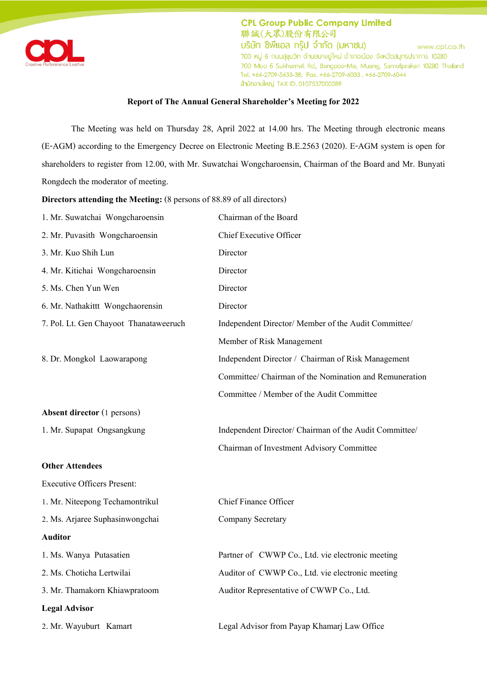

## **Report of The Annual General Shareholder's Meeting for 2022**

The Meeting was held on Thursday 28, April 2022 at 14.00 hrs. The Meeting through electronic means (E-AGM) according to the Emergency Decree on Electronic Meeting B.E.2563 (2020). E-AGM system is open for shareholders to register from 12.00, with Mr. Suwatchai Wongcharoensin, Chairman of the Board and Mr. Bunyati Rongdech the moderator of meeting.

**Directors attending the Meeting:** (8 persons of 88.89 of all directors)

| 1. Mr. Suwatchai Wongcharoensin        | Chairman of the Board                                  |
|----------------------------------------|--------------------------------------------------------|
| 2. Mr. Puvasith Wongcharoensin         | <b>Chief Executive Officer</b>                         |
| 3. Mr. Kuo Shih Lun                    | Director                                               |
| 4. Mr. Kitichai Wongcharoensin         | Director                                               |
| 5. Ms. Chen Yun Wen                    | Director                                               |
| 6. Mr. Nathakittt Wongchaorensin       | Director                                               |
| 7. Pol. Lt. Gen Chayoot Thanataweeruch | Independent Director/ Member of the Audit Committee/   |
|                                        | Member of Risk Management                              |
| 8. Dr. Mongkol Laowarapong             | Independent Director / Chairman of Risk Management     |
|                                        | Committee/ Chairman of the Nomination and Remuneration |
|                                        | Committee / Member of the Audit Committee              |
| <b>Absent director</b> (1 persons)     |                                                        |
| 1. Mr. Supapat Ongsangkung             | Independent Director/ Chairman of the Audit Committee/ |
|                                        | Chairman of Investment Advisory Committee              |
| <b>Other Attendees</b>                 |                                                        |
| <b>Executive Officers Present:</b>     |                                                        |
| 1. Mr. Niteepong Techamontrikul        | <b>Chief Finance Officer</b>                           |
| 2. Ms. Arjaree Suphasinwongchai        | Company Secretary                                      |
| <b>Auditor</b>                         |                                                        |
| 1. Ms. Wanya Putasatien                | Partner of CWWP Co., Ltd. vie electronic meeting       |
| 2. Ms. Choticha Lertwilai              | Auditor of CWWP Co., Ltd. vie electronic meeting       |
| 3. Mr. Thamakorn Khiawpratoom          | Auditor Representative of CWWP Co., Ltd.               |
| <b>Legal Advisor</b>                   |                                                        |
| 2. Mr. Wayuburt Kamart                 | Legal Advisor from Payap Khamarj Law Office            |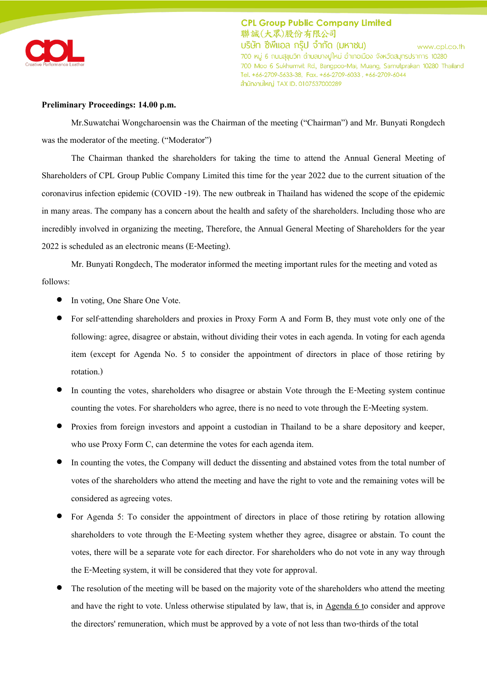

#### **Preliminary Proceedings: 14.00 p.m.**

Mr.Suwatchai Wongcharoensin was the Chairman of the meeting ('Chairman') and Mr. Bunyati Rongdech was the moderator of the meeting. ("Moderator")

The Chairman thanked the shareholders for taking the time to attend the Annual General Meeting of Shareholders of CPL Group Public Company Limited this time for the year 2022 due to the current situation of the coronavirus infection epidemic (COVID -19). The new outbreak in Thailand has widened the scope of the epidemic in many areas. The company has a concern about the health and safety of the shareholders. Including those who are incredibly involved in organizing the meeting, Therefore, the Annual General Meeting of Shareholders for the year 2022 is scheduled as an electronic means (E-Meeting).

Mr. Bunyati Rongdech, The moderator informed the meeting important rules for the meeting and voted as follows:

- In voting, One Share One Vote.
- For self-attending shareholders and proxies in Proxy Form A and Form B, they must vote only one of the following: agree, disagree or abstain, without dividing their votes in each agenda. In voting for each agenda item (except for Agenda No. 5 to consider the appointment of directors in place of those retiring by rotation.)
- In counting the votes, shareholders who disagree or abstain Vote through the E-Meeting system continue counting the votes. For shareholders who agree, there is no need to vote through the E-Meeting system.
- Proxies from foreign investors and appoint a custodian in Thailand to be a share depository and keeper, who use Proxy Form C, can determine the votes for each agenda item.
- In counting the votes, the Company will deduct the dissenting and abstained votes from the total number of votes of the shareholders who attend the meeting and have the right to vote and the remaining votes will be considered as agreeing votes.
- For Agenda 5: To consider the appointment of directors in place of those retiring by rotation allowing shareholders to vote through the E-Meeting system whether they agree, disagree or abstain. To count the votes, there will be a separate vote for each director. For shareholders who do not vote in any way through the E-Meeting system, it will be considered that they vote for approval.
- The resolution of the meeting will be based on the majority vote of the shareholders who attend the meeting and have the right to vote. Unless otherwise stipulated by law, that is, in Agenda 6 to consider and approve the directors' remuneration, which must be approved by a vote of not less than two-thirds of the total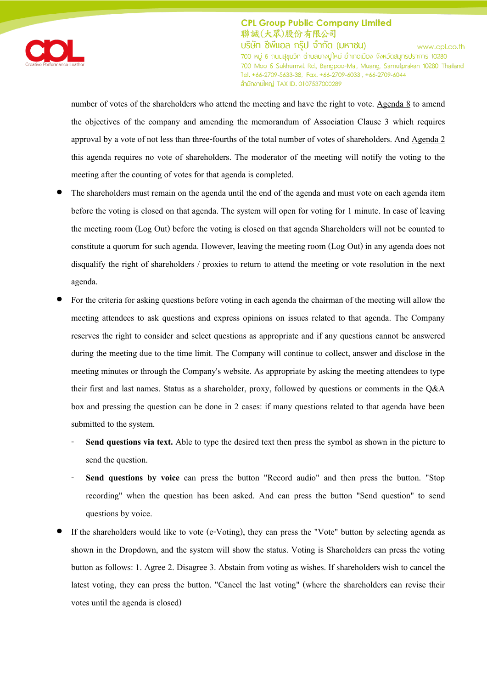

number of votes of the shareholders who attend the meeting and have the right to vote. Agenda 8 to amend the objectives of the company and amending the memorandum of Association Clause 3 which requires approval by a vote of not less than three-fourths of the total number of votes of shareholders. And Agenda 2 this agenda requires no vote of shareholders. The moderator of the meeting will notify the voting to the meeting after the counting of votes for that agenda is completed.

- The shareholders must remain on the agenda until the end of the agenda and must vote on each agenda item before the voting is closed on that agenda. The system will open for voting for 1 minute. In case of leaving the meeting room (Log Out) before the voting is closed on that agenda Shareholders will not be counted to constitute a quorum for such agenda. However, leaving the meeting room (Log Out) in any agenda does not disqualify the right of shareholders / proxies to return to attend the meeting or vote resolution in the next agenda.
- For the criteria for asking questions before voting in each agenda the chairman of the meeting will allow the meeting attendees to ask questions and express opinions on issues related to that agenda. The Company reserves the right to consider and select questions as appropriate and if any questions cannot be answered during the meeting due to the time limit. The Company will continue to collect, answer and disclose in the meeting minutes or through the Company's website. As appropriate by asking the meeting attendees to type their first and last names. Status as a shareholder, proxy, followed by questions or comments in the Q&A box and pressing the question can be done in 2 cases: if many questions related to that agenda have been submitted to the system.
	- **Send questions via text.** Able to type the desired text then press the symbol as shown in the picture to send the question.
	- **Send questions by voice** can press the button "Record audio" and then press the button. "Stop recording" when the question has been asked. And can press the button "Send question" to send questions by voice.
- If the shareholders would like to vote (e-Voting), they can press the "Vote" button by selecting agenda as shown in the Dropdown, and the system will show the status. Voting is Shareholders can press the voting button as follows: 1. Agree 2. Disagree 3. Abstain from voting as wishes. If shareholders wish to cancel the latest voting, they can press the button. "Cancel the last voting" (where the shareholders can revise their votes until the agenda is closed)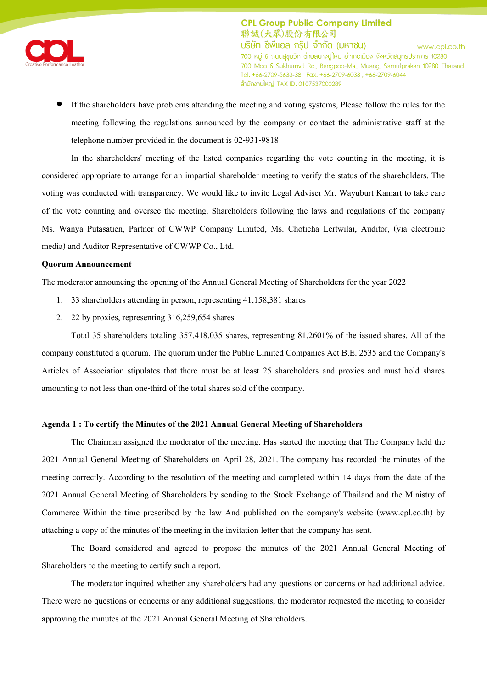

 If the shareholders have problems attending the meeting and voting systems, Please follow the rules for the meeting following the regulations announced by the company or contact the administrative staff at the telephone number provided in the document is 02-931-9818

In the shareholders' meeting of the listed companies regarding the vote counting in the meeting, it is considered appropriate to arrange for an impartial shareholder meeting to verify the status of the shareholders. The voting was conducted with transparency. We would like to invite Legal Adviser Mr. Wayuburt Kamart to take care of the vote counting and oversee the meeting. Shareholders following the laws and regulations of the company Ms. Wanya Putasatien, Partner of CWWP Company Limited, Ms. Choticha Lertwilai, Auditor, (via electronic media) and Auditor Representative of CWWP Co., Ltd.

## **Quorum Announcement**

The moderator announcing the opening of the Annual General Meeting of Shareholders for the year 2022

- 1. 33 shareholders attending in person, representing 41,158,381 shares
- 2. 22 by proxies, representing 316,259,654 shares

Total 35 shareholders totaling 357,418,035 shares, representing 81.2601% of the issued shares. All of the company constituted a quorum. The quorum under the Public Limited Companies Act B.E. 2535 and the Company's Articles of Association stipulates that there must be at least 25 shareholders and proxies and must hold shares amounting to not less than one-third of the total shares sold of the company.

#### **Agenda 1 : To certify the Minutes of the 2021 Annual General Meeting of Shareholders**

The Chairman assigned the moderator of the meeting. Has started the meeting that The Company held the 2021 Annual General Meeting of Shareholders on April 28, 2021. The company has recorded the minutes of the meeting correctly. According to the resolution of the meeting and completed within 14 days from the date of the 2021 Annual General Meeting of Shareholders by sending to the Stock Exchange of Thailand and the Ministry of Commerce Within the time prescribed by the law And published on the company's website (www.cpl.co.th) by attaching a copy of the minutes of the meeting in the invitation letter that the company has sent.

The Board considered and agreed to propose the minutes of the 2021 Annual General Meeting of Shareholders to the meeting to certify such a report.

The moderator inquired whether any shareholders had any questions or concerns or had additional advice. There were no questions or concerns or any additional suggestions, the moderator requested the meeting to consider approving the minutes of the 2021 Annual General Meeting of Shareholders.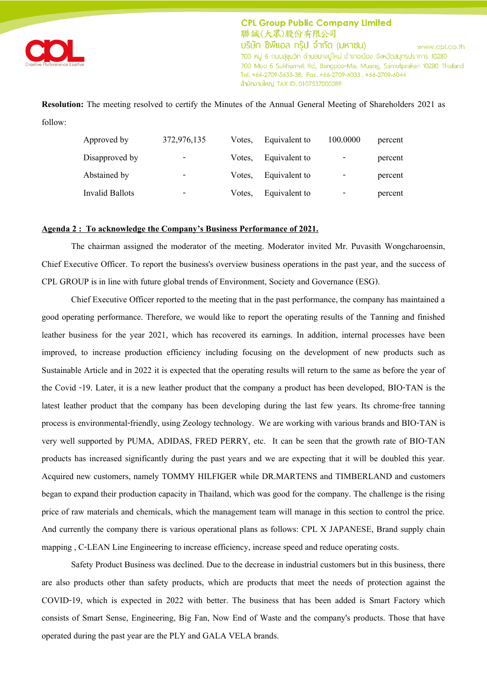

**Resolution:** The meeting resolved to certify the Minutes of the Annual General Meeting of Shareholders 2021 as follow:

| Approved by            | 372,976,135 | Votes. | Equivalent to | 100.0000 | percent |
|------------------------|-------------|--------|---------------|----------|---------|
| Disapproved by         | -           | Votes. | Equivalent to | -        | percent |
| Abstained by           | -           | Votes. | Equivalent to | -        | percent |
| <b>Invalid Ballots</b> | -           | Votes. | Equivalent to | -        | percent |

## **Agenda 2 : To acknowledge the Company's Business Performance of 2021.**

The chairman assigned the moderator of the meeting. Moderator invited Mr. Puvasith Wongcharoensin, Chief Executive Officer. To report the business's overview business operations in the past year, and the success of CPL GROUP is in line with future global trends of Environment, Society and Governance (ESG).

Chief Executive Officer reported to the meeting that in the past performance, the company has maintained a good operating performance. Therefore, we would like to report the operating results of the Tanning and finished leather business for the year 2021, which has recovered its earnings. In addition, internal processes have been improved, to increase production efficiency including focusing on the development of new products such as Sustainable Article and in 2022 it is expected that the operating results will return to the same as before the year of the Covid -19. Later, it is a new leather product that the company a product has been developed, BIO-TAN is the latest leather product that the company has been developing during the last few years. Its chrome-free tanning process is environmental-friendly, using Zeology technology. We are working with various brands and BIO-TAN is very well supported by PUMA, ADIDAS, FRED PERRY, etc. It can be seen that the growth rate of BIO-TAN products has increased significantly during the past years and we are expecting that it will be doubled this year. Acquired new customers, namely TOMMY HILFIGER while DR.MARTENS and TIMBERLAND and customers began to expand their production capacity in Thailand, which was good for the company. The challenge is the rising price of raw materials and chemicals, which the management team will manage in this section to control the price. And currently the company there is various operational plans as follows: CPL X JAPANESE, Brand supply chain mapping , C-LEAN Line Engineering to increase efficiency, increase speed and reduce operating costs.

Safety Product Business was declined. Due to the decrease in industrial customers but in this business, there are also products other than safety products, which are products that meet the needs of protection against the COVID-19, which is expected in 2022 with better. The business that has been added is Smart Factory which consists of Smart Sense, Engineering, Big Fan, Now End of Waste and the company's products. Those that have operated during the past year are the PLY and GALA VELA brands.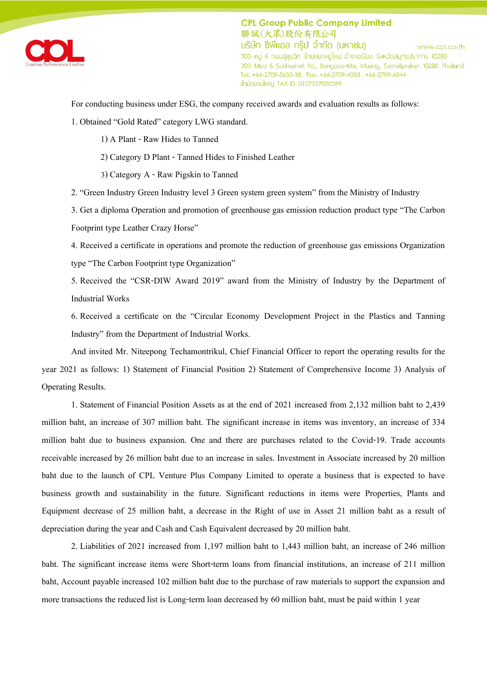

For conducting business under ESG, the company received awards and evaluation results as follows:

1. Obtained 'Gold Rated' category LWG standard.

1) A Plant - Raw Hides to Tanned

2) Category D Plant - Tanned Hides to Finished Leather

3) Category A - Raw Pigskin to Tanned

2. 'Green Industry Green Industry level 3 Green system green system' from the Ministry of Industry

3. Get a diploma Operation and promotion of greenhouse gas emission reduction product type 'The Carbon Footprint type Leather Crazy Horse'

4. Received a certificate in operations and promote the reduction of greenhouse gas emissions Organization type 'The Carbon Footprint type Organization'

5. Received the 'CSR-DIW Award 2019' award from the Ministry of Industry by the Department of Industrial Works

6. Received a certificate on the 'Circular Economy Development Project in the Plastics and Tanning Industry' from the Department of Industrial Works.

And invited Mr. Niteepong Techamontrikul, Chief Financial Officer to report the operating results for the year 2021 as follows: 1) Statement of Financial Position 2) Statement of Comprehensive Income 3) Analysis of Operating Results.

1. Statement of Financial Position Assets as at the end of 2021 increased from 2,132 million baht to 2,439 million baht, an increase of 307 million baht. The significant increase in items was inventory, an increase of 334 million baht due to business expansion. One and there are purchases related to the Covid-19. Trade accounts receivable increased by 26 million baht due to an increase in sales. Investment in Associate increased by 20 million baht due to the launch of CPL Venture Plus Company Limited to operate a business that is expected to have business growth and sustainability in the future. Significant reductions in items were Properties, Plants and Equipment decrease of 25 million baht, a decrease in the Right of use in Asset 21 million baht as a result of depreciation during the year and Cash and Cash Equivalent decreased by 20 million baht.

2. Liabilities of 2021 increased from 1,197 million baht to 1,443 million baht, an increase of 246 million baht. The significant increase items were Short-term loans from financial institutions, an increase of 211 million baht, Account payable increased 102 million baht due to the purchase of raw materials to support the expansion and more transactions the reduced list is Long-term loan decreased by 60 million baht, must be paid within 1 year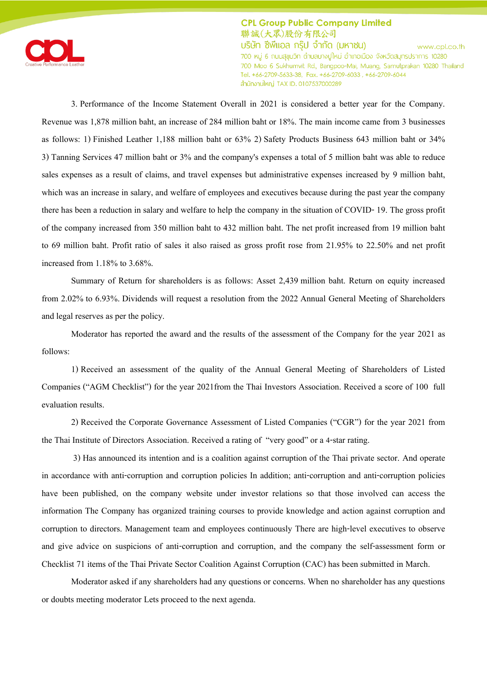

3. Performance of the Income Statement Overall in 2021 is considered a better year for the Company. Revenue was 1,878 million baht, an increase of 284 million baht or 18%. The main income came from 3 businesses as follows: 1) Finished Leather 1,188 million baht or 63% 2) Safety Products Business 643 million baht or 34% 3) Tanning Services 47 million baht or 3% and the company's expenses a total of 5 million baht was able to reduce sales expenses as a result of claims, and travel expenses but administrative expenses increased by 9 million baht, which was an increase in salary, and welfare of employees and executives because during the past year the company there has been a reduction in salary and welfare to help the company in the situation of COVID- 19. The gross profit of the company increased from 350 million baht to 432 million baht. The net profit increased from 19 million baht to 69 million baht. Profit ratio of sales it also raised as gross profit rose from 21.95% to 22.50% and net profit increased from 1.18% to 3.68%.

Summary of Return for shareholders is as follows: Asset 2,439 million baht. Return on equity increased from 2.02% to 6.93%. Dividends will request a resolution from the 2022 Annual General Meeting of Shareholders and legal reserves as per the policy.

Moderator has reported the award and the results of the assessment of the Company for the year 2021 as follows:

1) Received an assessment of the quality of the Annual General Meeting of Shareholders of Listed Companies ('AGM Checklist') for the year 2021from the Thai Investors Association. Received a score of 100 full evaluation results.

2) Received the Corporate Governance Assessment of Listed Companies ('CGR') for the year 2021 from the Thai Institute of Directors Association. Received a rating of 'very good' or a 4-star rating.

3) Has announced its intention and is a coalition against corruption of the Thai private sector. And operate in accordance with anti-corruption and corruption policies In addition; anti-corruption and anti-corruption policies have been published, on the company website under investor relations so that those involved can access the information The Company has organized training courses to provide knowledge and action against corruption and corruption to directors. Management team and employees continuously There are high-level executives to observe and give advice on suspicions of anti-corruption and corruption, and the company the self-assessment form or Checklist 71 items of the Thai Private Sector Coalition Against Corruption (CAC) has been submitted in March.

Moderator asked if any shareholders had any questions or concerns. When no shareholder has any questions or doubts meeting moderator Lets proceed to the next agenda.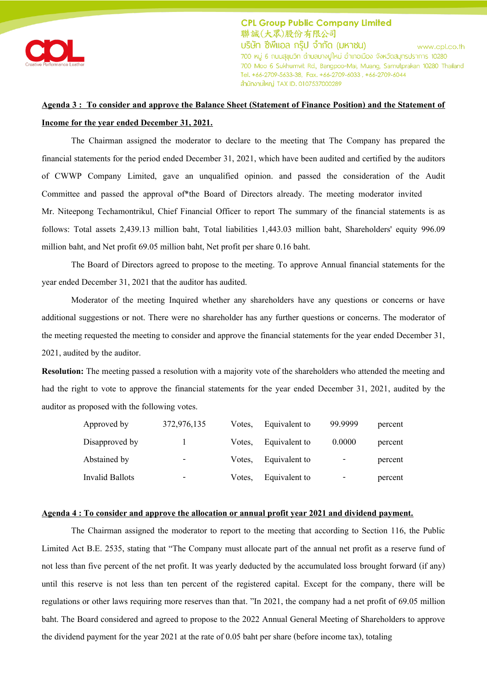

## **Agenda 3 : To consider and approve the Balance Sheet (Statement of Finance Position) and the Statement of Income for the year ended December 31, 2021.**

The Chairman assigned the moderator to declare to the meeting that The Company has prepared the financial statements for the period ended December 31, 2021, which have been audited and certified by the auditors of CWWP Company Limited, gave an unqualified opinion. and passed the consideration of the Audit Committee and passed the approval of\*the Board of Directors already. The meeting moderator invited Mr. Niteepong Techamontrikul, Chief Financial Officer to report The summary of the financial statements is as follows: Total assets 2,439.13 million baht, Total liabilities 1,443.03 million baht, Shareholders' equity 996.09 million baht, and Net profit 69.05 million baht, Net profit per share 0.16 baht.

The Board of Directors agreed to propose to the meeting. To approve Annual financial statements for the year ended December 31, 2021 that the auditor has audited.

Moderator of the meeting Inquired whether any shareholders have any questions or concerns or have additional suggestions or not. There were no shareholder has any further questions or concerns. The moderator of the meeting requested the meeting to consider and approve the financial statements for the year ended December 31, 2021, audited by the auditor.

**Resolution:** The meeting passed a resolution with a majority vote of the shareholders who attended the meeting and had the right to vote to approve the financial statements for the year ended December 31, 2021, audited by the auditor as proposed with the following votes.

| Approved by     | 372,976,135              | Votes. | Equivalent to | 99.9999 | percent |
|-----------------|--------------------------|--------|---------------|---------|---------|
| Disapproved by  |                          | Votes. | Equivalent to | 0.0000  | percent |
| Abstained by    | $\overline{\phantom{a}}$ | Votes. | Equivalent to | -       | percent |
| Invalid Ballots | ۰                        | Votes. | Equivalent to | -       | percent |

#### **Agenda 4 : To consider and approve the allocation or annual profit year 2021 and dividend payment.**

The Chairman assigned the moderator to report to the meeting that according to Section 116, the Public Limited Act B.E. 2535, stating that 'The Company must allocate part of the annual net profit as a reserve fund of not less than five percent of the net profit. It was yearly deducted by the accumulated loss brought forward (if any) until this reserve is not less than ten percent of the registered capital. Except for the company, there will be regulations or other laws requiring more reserves than that. 'In 2021, the company had a net profit of 69.05 million baht. The Board considered and agreed to propose to the 2022 Annual General Meeting of Shareholders to approve the dividend payment for the year 2021 at the rate of 0.05 baht per share (before income tax), totaling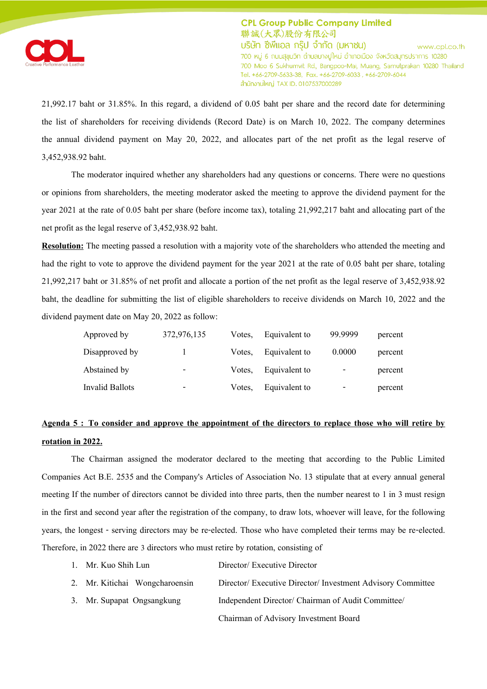

21,992.17 baht or 31.85%. In this regard, a dividend of 0.05 baht per share and the record date for determining the list of shareholders for receiving dividends (Record Date) is on March 10, 2022. The company determines the annual dividend payment on May 20, 2022, and allocates part of the net profit as the legal reserve of 3,452,938.92 baht.

The moderator inquired whether any shareholders had any questions or concerns. There were no questions or opinions from shareholders, the meeting moderator asked the meeting to approve the dividend payment for the year 2021 at the rate of 0.05 baht per share (before income tax), totaling 21,992,217 baht and allocating part of the net profit as the legal reserve of 3,452,938.92 baht.

**Resolution:** The meeting passed a resolution with a majority vote of the shareholders who attended the meeting and had the right to vote to approve the dividend payment for the year 2021 at the rate of 0.05 baht per share, totaling 21,992,217 baht or 31.85% of net profit and allocate a portion of the net profit as the legal reserve of 3,452,938.92 baht, the deadline for submitting the list of eligible shareholders to receive dividends on March 10, 2022 and the dividend payment date on May 20, 2022 as follow:

| Approved by     | 372,976,135              | Votes. | Equivalent to | 99.9999 | percent |
|-----------------|--------------------------|--------|---------------|---------|---------|
| Disapproved by  |                          | Votes. | Equivalent to | 0.0000  | percent |
| Abstained by    | $\overline{\phantom{0}}$ | Votes. | Equivalent to | -       | percent |
| Invalid Ballots |                          | Votes, | Equivalent to | -       | percent |

# **Agenda 5 : To consider and approve the appointment of the directors to replace those who will retire by rotation in 2022.**

The Chairman assigned the moderator declared to the meeting that according to the Public Limited Companies Act B.E. 2535 and the Company's Articles of Association No. 13 stipulate that at every annual general meeting If the number of directors cannot be divided into three parts, then the number nearest to 1 in 3 must resign in the first and second year after the registration of the company, to draw lots, whoever will leave, for the following years, the longest - serving directors may be re-elected. Those who have completed their terms may be re-elected. Therefore, in 2022 there are 3 directors who must retire by rotation, consisting of

| 1. Mr. Kuo Shih Lun            | Director/ Executive Director                                |
|--------------------------------|-------------------------------------------------------------|
| 2. Mr. Kitichai Wongcharoensin | Director/ Executive Director/ Investment Advisory Committee |
| 3. Mr. Supapat Ongsangkung     | Independent Director/ Chairman of Audit Committee/          |
|                                | Chairman of Advisory Investment Board                       |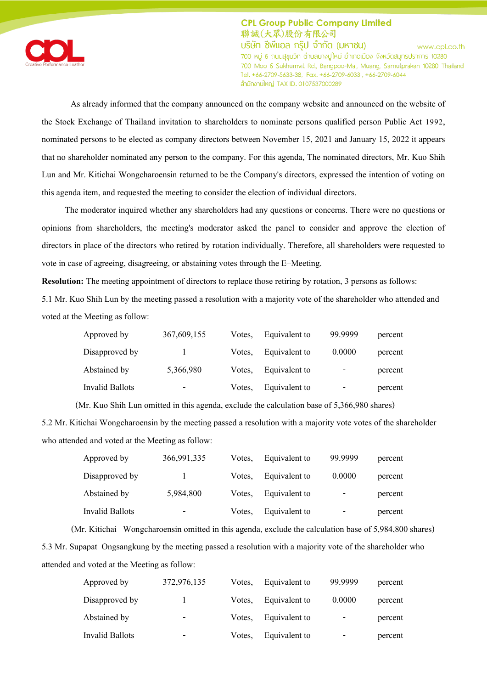

As already informed that the company announced on the company website and announced on the website of the Stock Exchange of Thailand invitation to shareholders to nominate persons qualified person Public Act 1992, nominated persons to be elected as company directors between November 15, 2021 and January 15, 2022 it appears that no shareholder nominated any person to the company. For this agenda, The nominated directors, Mr. Kuo Shih Lun and Mr. Kitichai Wongcharoensin returned to be the Company's directors, expressed the intention of voting on this agenda item, and requested the meeting to consider the election of individual directors.

The moderator inquired whether any shareholders had any questions or concerns. There were no questions or opinions from shareholders, the meeting's moderator asked the panel to consider and approve the election of directors in place of the directors who retired by rotation individually. Therefore, all shareholders were requested to vote in case of agreeing, disagreeing, or abstaining votes through the E–Meeting.

**Resolution:** The meeting appointment of directors to replace those retiring by rotation, 3 persons as follows:

5.1 Mr. Kuo Shih Lun by the meeting passed a resolution with a majority vote of the shareholder who attended and voted at the Meeting as follow:

| Approved by     | 367,609,155 | Votes. | Equivalent to | 99.9999 | percent |
|-----------------|-------------|--------|---------------|---------|---------|
| Disapproved by  |             | Votes. | Equivalent to | 0.0000  | percent |
| Abstained by    | 5,366,980   | Votes. | Equivalent to | -       | percent |
| Invalid Ballots | -           | Votes. | Equivalent to | -       | percent |

(Mr. Kuo Shih Lun omitted in this agenda, exclude the calculation base of 5,366,980 shares)

5.2 Mr. Kitichai Wongcharoensin by the meeting passed a resolution with a majority vote votes of the shareholder who attended and voted at the Meeting as follow:

| Approved by     | 366,991,335 | Votes. | Equivalent to | 99.9999 | percent |
|-----------------|-------------|--------|---------------|---------|---------|
| Disapproved by  |             | Votes. | Equivalent to | 0.0000  | percent |
| Abstained by    | 5,984,800   | Votes. | Equivalent to | -       | percent |
| Invalid Ballots |             | Votes. | Equivalent to | -       | percent |

(Mr. Kitichai Wongcharoensin omitted in this agenda, exclude the calculation base of 5,984,800 shares) 5.3 Mr. Supapat Ongsangkung by the meeting passed a resolution with a majority vote of the shareholder who attended and voted at the Meeting as follow:

| Approved by     | 372,976,135 | Votes. | Equivalent to | 99.9999 | percent |
|-----------------|-------------|--------|---------------|---------|---------|
| Disapproved by  |             | Votes. | Equivalent to | 0.0000  | percent |
| Abstained by    | -           | Votes. | Equivalent to | -       | percent |
| Invalid Ballots | -           | Votes. | Equivalent to | -       | percent |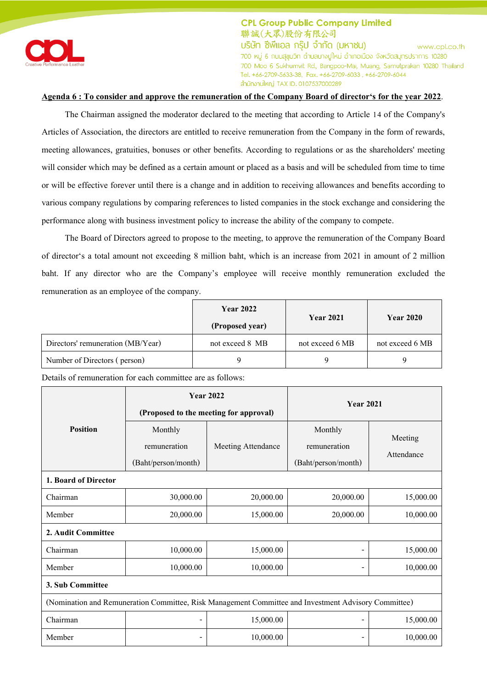

## **Agenda 6 : To consider and approve the remuneration of the Company Board of director's for the year 2022**.

The Chairman assigned the moderator declared to the meeting that according to Article 14 of the Company's Articles of Association, the directors are entitled to receive remuneration from the Company in the form of rewards, meeting allowances, gratuities, bonuses or other benefits. According to regulations or as the shareholders' meeting will consider which may be defined as a certain amount or placed as a basis and will be scheduled from time to time or will be effective forever until there is a change and in addition to receiving allowances and benefits according to various company regulations by comparing references to listed companies in the stock exchange and considering the performance along with business investment policy to increase the ability of the company to compete.

The Board of Directors agreed to propose to the meeting, to approve the remuneration of the Company Board of director's a total amount not exceeding 8 million baht, which is an increase from 2021 in amount of 2 million baht. If any director who are the Company's employee will receive monthly remuneration excluded the remuneration as an employee of the company.

|                                   | <b>Year 2022</b><br><b>Year 2021</b><br>(Proposed year) |                 | <b>Year 2020</b> |
|-----------------------------------|---------------------------------------------------------|-----------------|------------------|
|                                   |                                                         |                 |                  |
| Directors' remuneration (MB/Year) | not exceed 8 MB                                         | not exceed 6 MB | not exceed 6 MB  |
| Number of Directors (person)      |                                                         |                 |                  |

Details of remuneration for each committee are as follows:

|                                                                                                      | <b>Year 2022</b>                       |                    | <b>Year 2021</b>    |            |  |
|------------------------------------------------------------------------------------------------------|----------------------------------------|--------------------|---------------------|------------|--|
|                                                                                                      | (Proposed to the meeting for approval) |                    |                     |            |  |
| <b>Position</b>                                                                                      | Monthly                                |                    | Monthly             | Meeting    |  |
|                                                                                                      | remuneration                           | Meeting Attendance | remuneration        | Attendance |  |
|                                                                                                      | (Baht/person/month)                    |                    | (Baht/person/month) |            |  |
| 1. Board of Director                                                                                 |                                        |                    |                     |            |  |
| Chairman                                                                                             | 30,000.00                              | 20,000.00          | 20,000.00           | 15,000.00  |  |
| Member                                                                                               | 20,000.00                              | 15,000.00          | 20,000.00           | 10,000.00  |  |
| 2. Audit Committee                                                                                   |                                        |                    |                     |            |  |
| Chairman                                                                                             | 10,000.00                              | 15,000.00          |                     | 15,000.00  |  |
| Member                                                                                               | 10,000.00                              | 10,000.00          |                     | 10,000.00  |  |
| 3. Sub Committee                                                                                     |                                        |                    |                     |            |  |
| (Nomination and Remuneration Committee, Risk Management Committee and Investment Advisory Committee) |                                        |                    |                     |            |  |
| Chairman                                                                                             | -                                      | 15,000.00          |                     | 15,000.00  |  |
| Member                                                                                               | $\overline{\phantom{0}}$               | 10,000.00          |                     | 10,000.00  |  |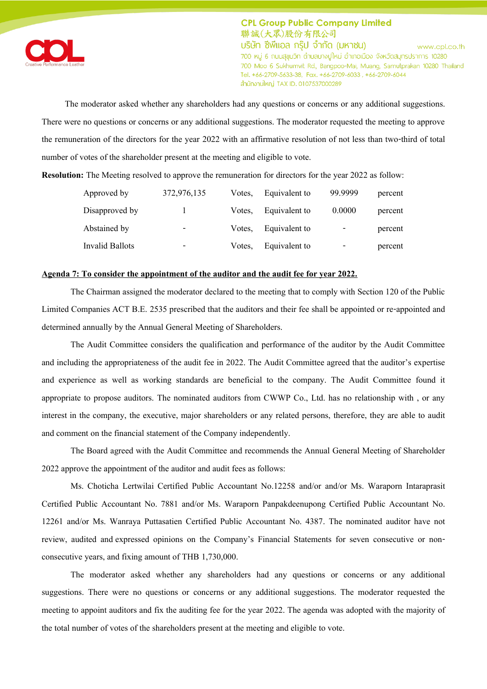

The moderator asked whether any shareholders had any questions or concerns or any additional suggestions. There were no questions or concerns or any additional suggestions. The moderator requested the meeting to approve the remuneration of the directors for the year 2022 with an affirmative resolution of not less than two-third of total number of votes of the shareholder present at the meeting and eligible to vote.

**Resolution:** The Meeting resolved to approve the remuneration for directors for the year 2022 as follow:

| Approved by     | 372,976,135 | Votes. | Equivalent to | 99.9999 | percent |
|-----------------|-------------|--------|---------------|---------|---------|
| Disapproved by  |             | Votes. | Equivalent to | 0.0000  | percent |
| Abstained by    | -           | Votes. | Equivalent to | -       | percent |
| Invalid Ballots | -           | Votes. | Equivalent to | -       | percent |

## **Agenda 7: To consider the appointment of the auditor and the audit fee for year 2022.**

The Chairman assigned the moderator declared to the meeting that to comply with Section 120 of the Public Limited Companies ACT B.E. 2535 prescribed that the auditors and their fee shall be appointed or re-appointed and determined annually by the Annual General Meeting of Shareholders.

The Audit Committee considers the qualification and performance of the auditor by the Audit Committee and including the appropriateness of the audit fee in 2022. The Audit Committee agreed that the auditor's expertise and experience as well as working standards are beneficial to the company. The Audit Committee found it appropriate to propose auditors. The nominated auditors from CWWP Co., Ltd. has no relationship with , or any interest in the company, the executive, major shareholders or any related persons, therefore, they are able to audit and comment on the financial statement of the Company independently.

The Board agreed with the Audit Committee and recommends the Annual General Meeting of Shareholder 2022 approve the appointment of the auditor and audit fees as follows:

Ms. Choticha Lertwilai Certified Public Accountant No.12258 and/or and/or Ms. Waraporn Intaraprasit Certified Public Accountant No. 7881 and/or Ms. Waraporn Panpakdeenupong Certified Public Accountant No. 12261 and/or Ms. Wanraya Puttasatien Certified Public Accountant No. 4387. The nominated auditor have not review, audited and expressed opinions on the Company's Financial Statements for seven consecutive or nonconsecutive years, and fixing amount of THB 1,730,000.

The moderator asked whether any shareholders had any questions or concerns or any additional suggestions. There were no questions or concerns or any additional suggestions. The moderator requested the meeting to appoint auditors and fix the auditing fee for the year 2022. The agenda was adopted with the majority of the total number of votes of the shareholders present at the meeting and eligible to vote.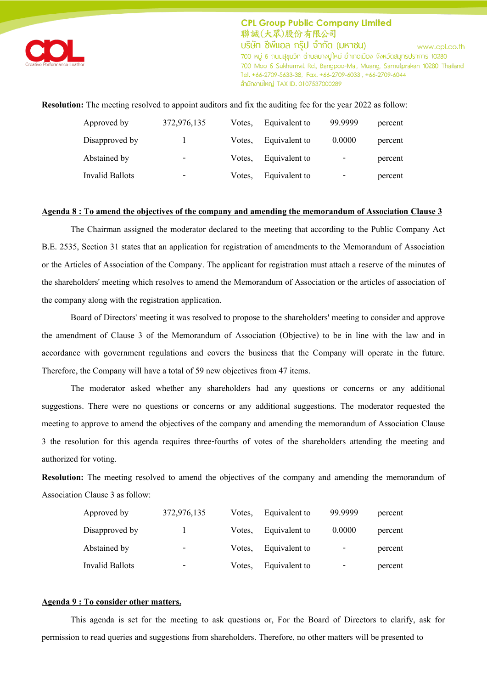

**Resolution:** The meeting resolved to appoint auditors and fix the auditing fee for the year 2022 as follow:

| Approved by     | 372,976,135 | Votes. | Equivalent to | 99.9999 | percent |
|-----------------|-------------|--------|---------------|---------|---------|
| Disapproved by  |             | Votes. | Equivalent to | 0.0000  | percent |
| Abstained by    | ۰           | Votes. | Equivalent to | -       | percent |
| Invalid Ballots | -           | Votes. | Equivalent to | -       | percent |

#### **Agenda 8 : To amend the objectives of the company and amending the memorandum of Association Clause 3**

The Chairman assigned the moderator declared to the meeting that according to the Public Company Act B.E. 2535, Section 31 states that an application for registration of amendments to the Memorandum of Association or the Articles of Association of the Company. The applicant for registration must attach a reserve of the minutes of the shareholders' meeting which resolves to amend the Memorandum of Association or the articles of association of the company along with the registration application.

Board of Directors' meeting it was resolved to propose to the shareholders' meeting to consider and approve the amendment of Clause 3 of the Memorandum of Association (Objective) to be in line with the law and in accordance with government regulations and covers the business that the Company will operate in the future. Therefore, the Company will have a total of 59 new objectives from 47 items.

The moderator asked whether any shareholders had any questions or concerns or any additional suggestions. There were no questions or concerns or any additional suggestions. The moderator requested the meeting to approve to amend the objectives of the company and amending the memorandum of Association Clause 3 the resolution for this agenda requires three-fourths of votes of the shareholders attending the meeting and authorized for voting.

**Resolution:** The meeting resolved to amend the objectives of the company and amending the memorandum of Association Clause 3 as follow:

| Approved by     | 372,976,135 | Votes. | Equivalent to | 99.9999 | percent |
|-----------------|-------------|--------|---------------|---------|---------|
| Disapproved by  |             | Votes. | Equivalent to | 0.0000  | percent |
| Abstained by    | -           | Votes. | Equivalent to | -       | percent |
| Invalid Ballots | -           | Votes. | Equivalent to | -       | percent |

#### **Agenda 9 : To consider other matters.**

This agenda is set for the meeting to ask questions or, For the Board of Directors to clarify, ask for permission to read queries and suggestions from shareholders. Therefore, no other matters will be presented to